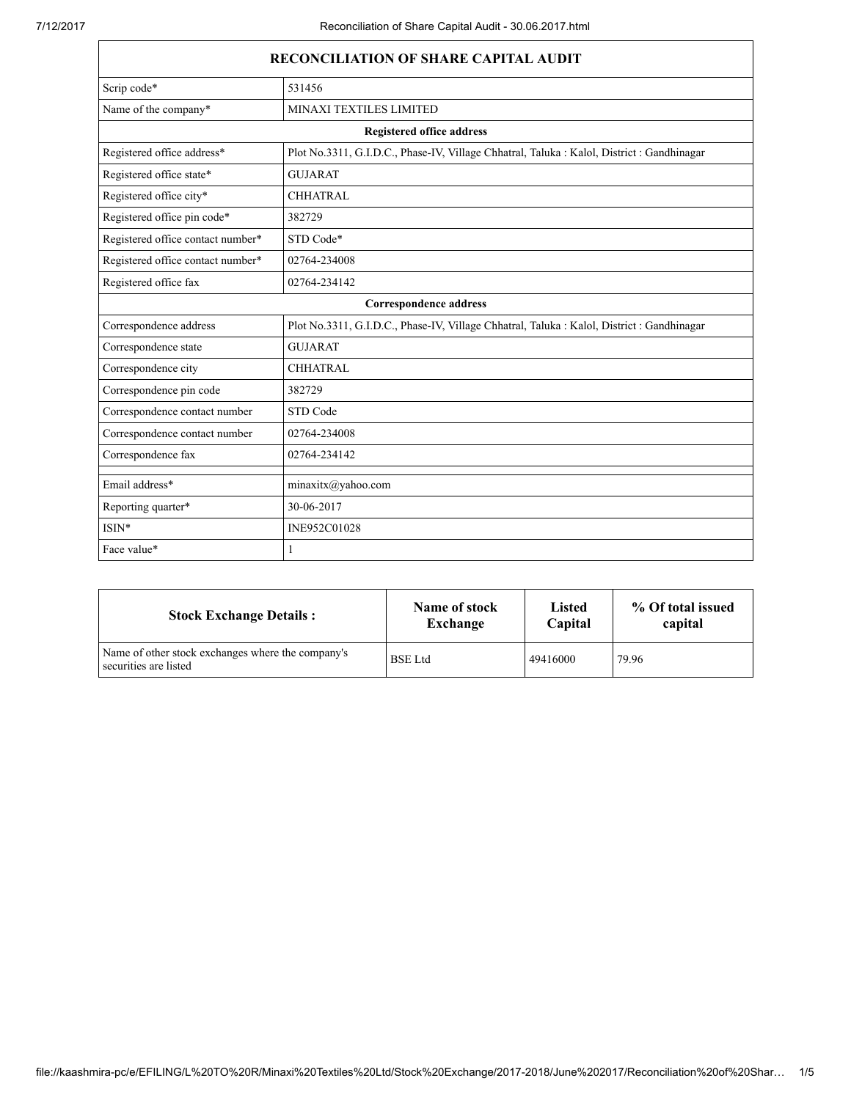| <b>RECONCILIATION OF SHARE CAPITAL AUDIT</b> |                                                                                            |  |  |
|----------------------------------------------|--------------------------------------------------------------------------------------------|--|--|
| Scrip code*                                  | 531456                                                                                     |  |  |
| Name of the company*                         | MINAXI TEXTILES LIMITED                                                                    |  |  |
| <b>Registered office address</b>             |                                                                                            |  |  |
| Registered office address*                   | Plot No.3311, G.I.D.C., Phase-IV, Village Chhatral, Taluka: Kalol, District: Gandhinagar   |  |  |
| Registered office state*                     | <b>GUJARAT</b>                                                                             |  |  |
| Registered office city*                      | <b>CHHATRAL</b>                                                                            |  |  |
| Registered office pin code*                  | 382729                                                                                     |  |  |
| Registered office contact number*            | STD Code*                                                                                  |  |  |
| Registered office contact number*            | 02764-234008                                                                               |  |  |
| Registered office fax                        | 02764-234142                                                                               |  |  |
|                                              | <b>Correspondence address</b>                                                              |  |  |
| Correspondence address                       | Plot No.3311, G.I.D.C., Phase-IV, Village Chhatral, Taluka : Kalol, District : Gandhinagar |  |  |
| Correspondence state                         | <b>GUJARAT</b>                                                                             |  |  |
| Correspondence city                          | <b>CHHATRAL</b>                                                                            |  |  |
| Correspondence pin code                      | 382729                                                                                     |  |  |
| Correspondence contact number                | STD Code                                                                                   |  |  |
| Correspondence contact number                | 02764-234008                                                                               |  |  |
| Correspondence fax                           | 02764-234142                                                                               |  |  |
| Email address*                               | minaxitx@yahoo.com                                                                         |  |  |
| Reporting quarter*                           | 30-06-2017                                                                                 |  |  |
| $ISIN*$                                      | INE952C01028                                                                               |  |  |
| Face value*                                  | 1                                                                                          |  |  |

| <b>Stock Exchange Details:</b>                                             | Name of stock  | <b>Listed</b> | % Of total issued |
|----------------------------------------------------------------------------|----------------|---------------|-------------------|
|                                                                            | Exchange       | Capital       | capital           |
| Name of other stock exchanges where the company's<br>securities are listed | <b>BSE</b> Ltd | 49416000      | 79.96             |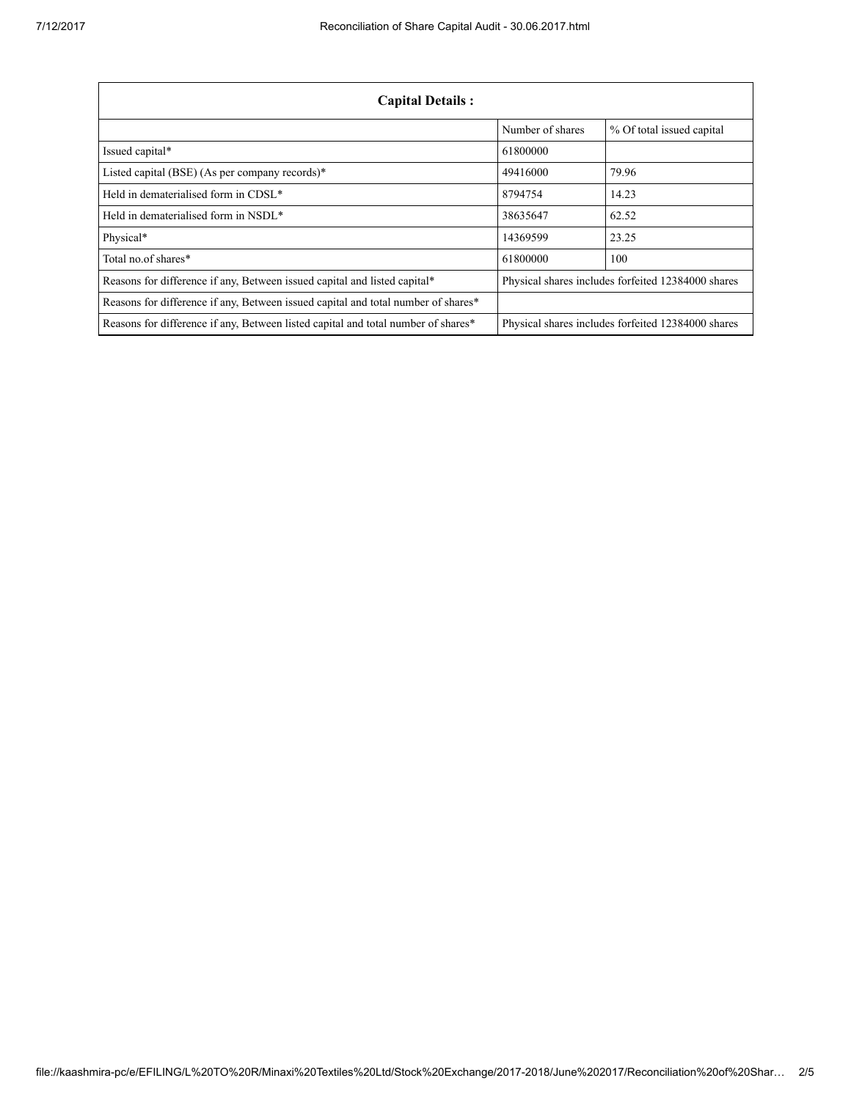| <b>Capital Details:</b>                                                           |                                                    |                                                    |  |
|-----------------------------------------------------------------------------------|----------------------------------------------------|----------------------------------------------------|--|
|                                                                                   | Number of shares                                   | % Of total issued capital                          |  |
| Issued capital*                                                                   | 61800000                                           |                                                    |  |
| Listed capital (BSE) (As per company records)*                                    | 49416000                                           | 79.96                                              |  |
| Held in dematerialised form in CDSL*                                              | 8794754                                            | 14.23                                              |  |
| Held in dematerialised form in NSDL*                                              | 38635647                                           | 62.52                                              |  |
| Physical*                                                                         | 14369599                                           | 23.25                                              |  |
| Total no of shares*                                                               | 61800000                                           | 100                                                |  |
| Reasons for difference if any, Between issued capital and listed capital*         |                                                    | Physical shares includes forfeited 12384000 shares |  |
| Reasons for difference if any, Between issued capital and total number of shares* |                                                    |                                                    |  |
| Reasons for difference if any, Between listed capital and total number of shares* | Physical shares includes forfeited 12384000 shares |                                                    |  |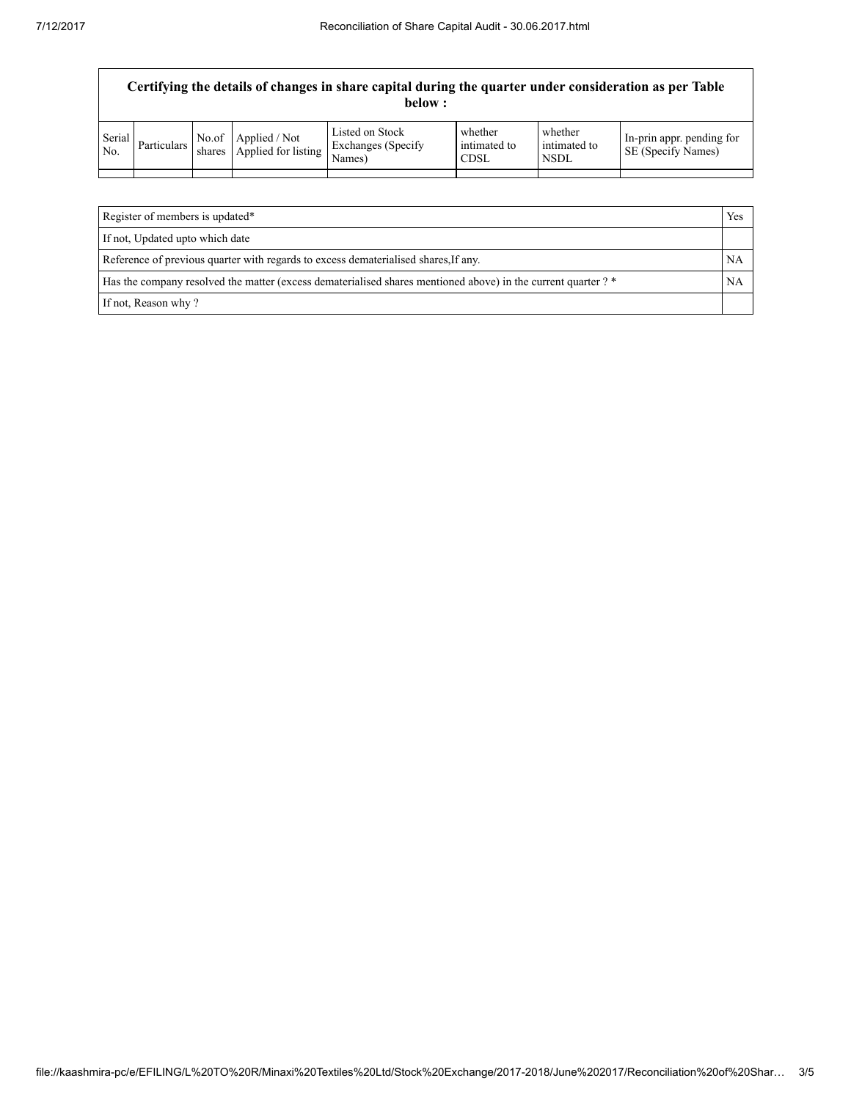| Certifying the details of changes in share capital during the quarter under consideration as per Table<br>below : |             |        |                                            |                                                        |                                 |                                 |                                                 |
|-------------------------------------------------------------------------------------------------------------------|-------------|--------|--------------------------------------------|--------------------------------------------------------|---------------------------------|---------------------------------|-------------------------------------------------|
| Serial<br>No.                                                                                                     | Particulars | shares | No.of Applied / Not<br>Applied for listing | Listed on Stock<br><b>Exchanges</b> (Specify<br>Names) | whether<br>intimated to<br>CDSL | whether<br>intimated to<br>NSDL | In-prin appr. pending for<br>SE (Specify Names) |
|                                                                                                                   |             |        |                                            |                                                        |                                 |                                 |                                                 |

| Register of members is updated*<br>Yes                                                                        |  |
|---------------------------------------------------------------------------------------------------------------|--|
| If not, Updated upto which date                                                                               |  |
| Reference of previous quarter with regards to excess dematerialised shares, If any.                           |  |
| Has the company resolved the matter (excess dematerialised shares mentioned above) in the current quarter ? * |  |
| If not, Reason why?                                                                                           |  |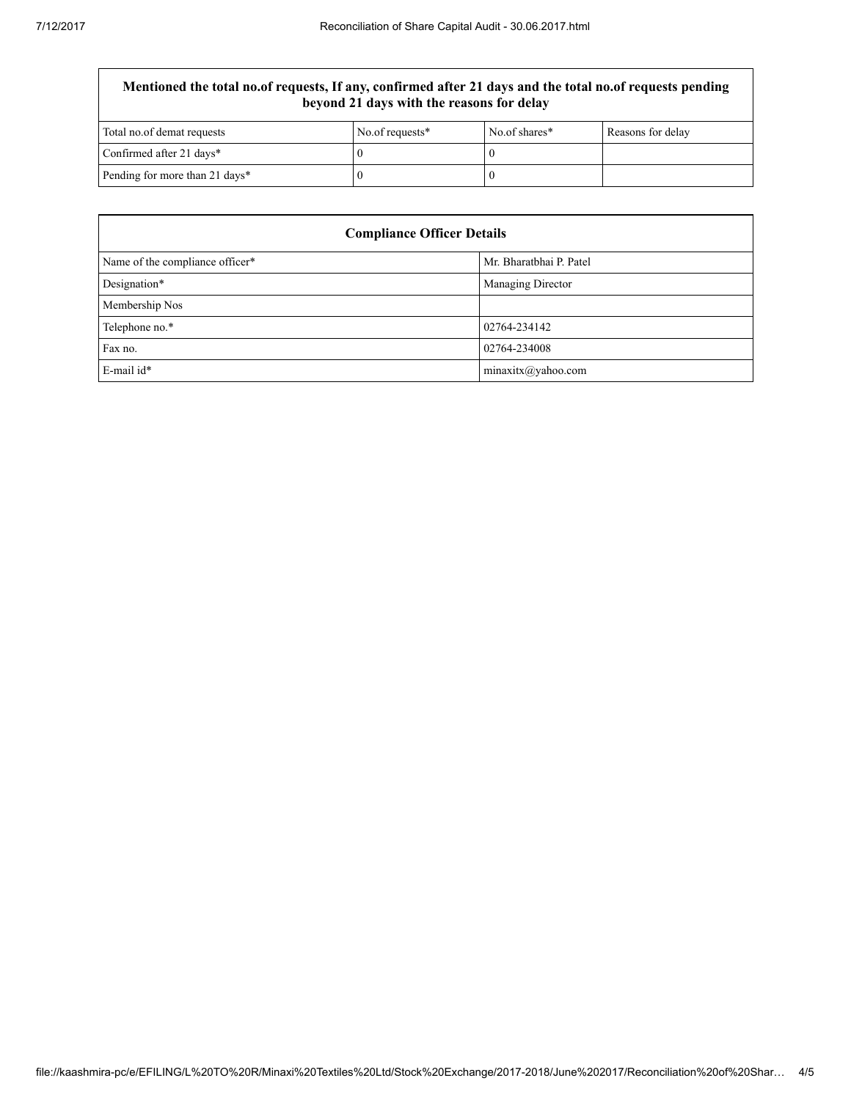## Mentioned the total no.of requests, If any, confirmed after 21 days and the total no.of requests pending beyond 21 days with the reasons for delay

| Total no.of demat requests     | No.of requests* | No.of shares* | Reasons for delay |
|--------------------------------|-----------------|---------------|-------------------|
| Confirmed after 21 days*       |                 |               |                   |
| Pending for more than 21 days* |                 |               |                   |

| <b>Compliance Officer Details</b> |                         |  |  |
|-----------------------------------|-------------------------|--|--|
| Name of the compliance officer*   | Mr. Bharatbhai P. Patel |  |  |
| Designation*                      | Managing Director       |  |  |
| Membership Nos                    |                         |  |  |
| Telephone no.*                    | 02764-234142            |  |  |
| Fax no.                           | 02764-234008            |  |  |
| E-mail id*                        | minaxitx@yahoo.com      |  |  |